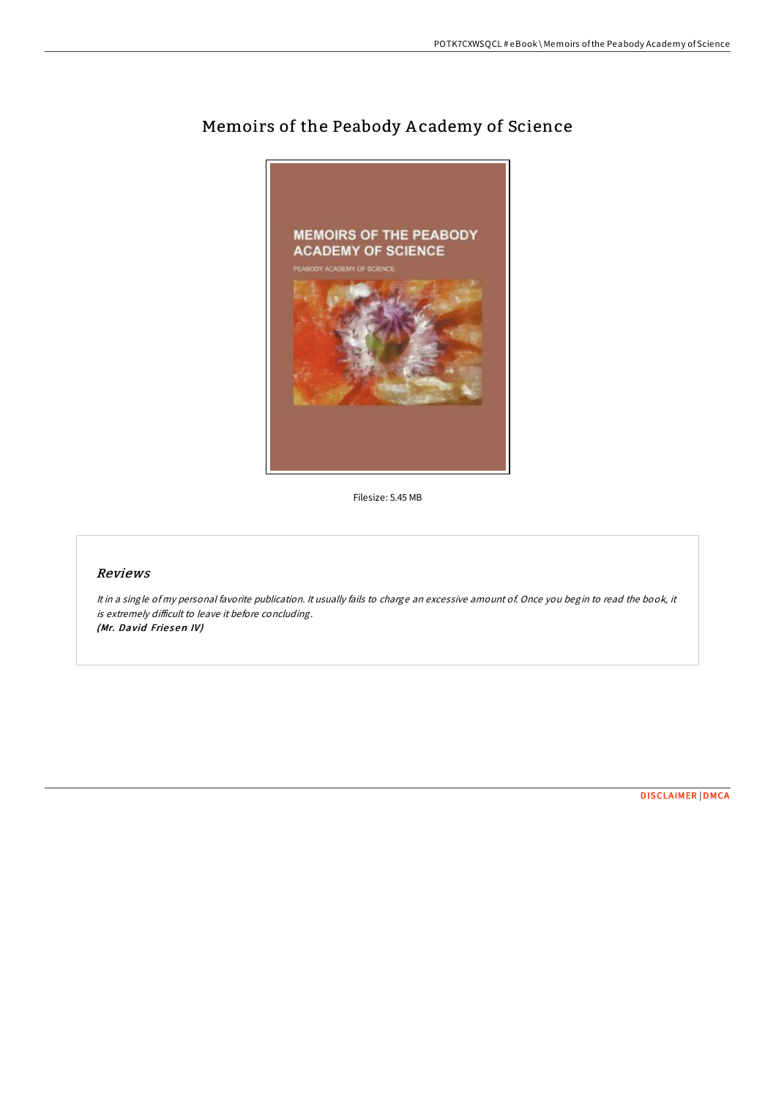

## Memoirs of the Peabody A cademy of Science

Filesize: 5.45 MB

## Reviews

It in <sup>a</sup> single of my personal favorite publication. It usually fails to charge an excessive amount of. Once you begin to read the book, it is extremely difficult to leave it before concluding. (Mr. David Friesen IV)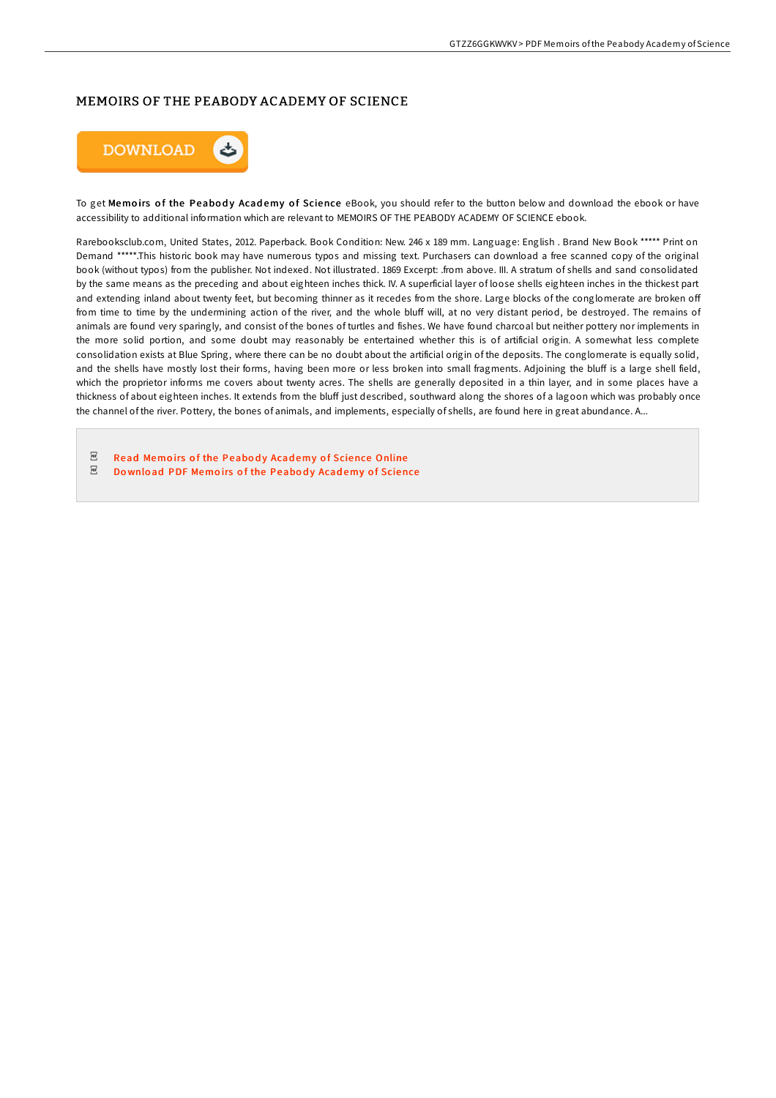## MEMOIRS OF THE PEABODY ACADEMY OF SCIENCE



To get Memoirs of the Peabody Academy of Science eBook, you should refer to the button below and download the ebook or have accessibility to additional information which are relevant to MEMOIRS OF THE PEABODY ACADEMY OF SCIENCE ebook.

Rarebooksclub.com, United States, 2012. Paperback. Book Condition: New. 246 x 189 mm. Language: English . Brand New Book \*\*\*\*\* Print on Demand \*\*\*\*\*.This historic book may have numerous typos and missing text. Purchasers can download a free scanned copy of the original book (without typos) from the publisher. Not indexed. Not illustrated. 1869 Excerpt: .from above. III. A stratum of shells and sand consolidated by the same means as the preceding and about eighteen inches thick. IV. A superficial layer of loose shells eighteen inches in the thickest part and extending inland about twenty feet, but becoming thinner as it recedes from the shore. Large blocks of the conglomerate are broken off from time to time by the undermining action of the river, and the whole bluff will, at no very distant period, be destroyed. The remains of animals are found very sparingly, and consist of the bones of turtles and fishes. We have found charcoal but neither pottery nor implements in the more solid portion, and some doubt may reasonably be entertained whether this is of artificial origin. A somewhat less complete consolidation exists at Blue Spring, where there can be no doubt about the artificial origin of the deposits. The conglomerate is equally solid, and the shells have mostly lost their forms, having been more or less broken into small fragments. Adjoining the bluff is a large shell field, which the proprietor informs me covers about twenty acres. The shells are generally deposited in a thin layer, and in some places have a thickness of about eighteen inches. It extends from the bluff just described, southward along the shores of a lagoon which was probably once the channel of the river. Pottery, the bones of animals, and implements, especially of shells, are found here in great abundance. A...

- $_{\rm PDF}$ Read Memoirs of the Peabody Academy of [Science](http://almighty24.tech/memoirs-of-the-peabody-academy-of-science-paperb.html) Online
- $_{\rm PDF}$ Do wnload PDF Memoirs of the Peabody Academy of [Science](http://almighty24.tech/memoirs-of-the-peabody-academy-of-science-paperb.html)